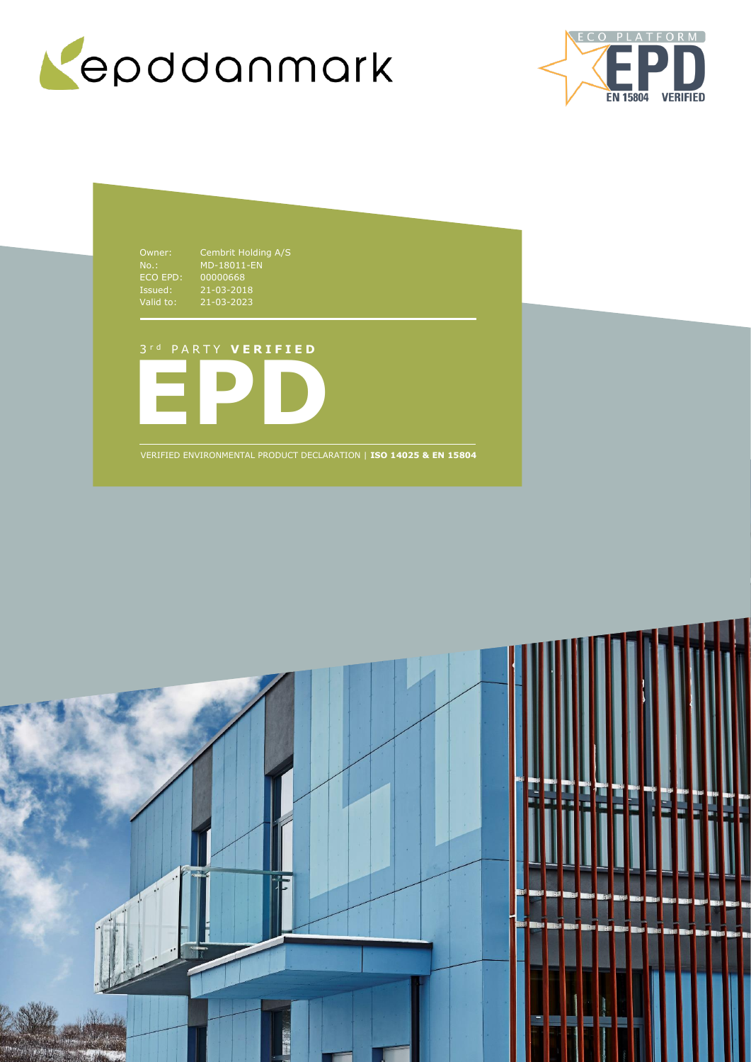



NO..<br>ECO EPD:<br>Issued:<br>Valid to: Issued: 21-03-2018 Valid to: 21-03-2023

00000668

#### 3 r d P A R T Y **V E R I F I E D**



VERIFIED ENVIRONMENTAL PRODUCT DECLARATION | **ISO 14025 & EN 15804**

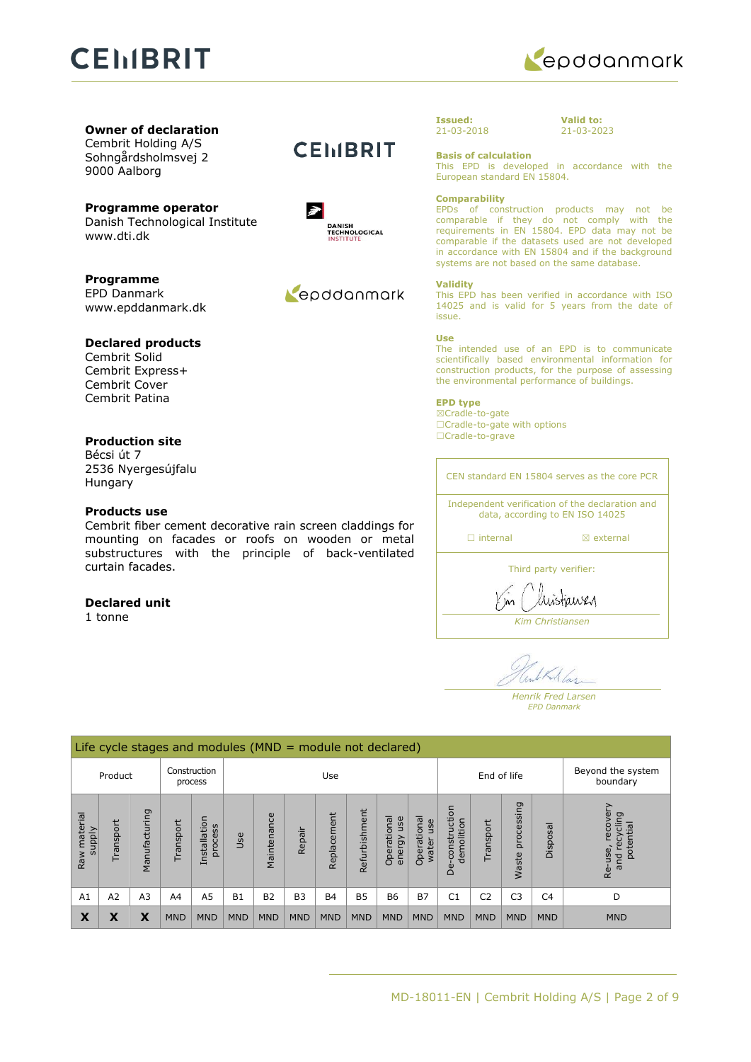# **CEMBRIT**



**Owner of declaration** Cembrit Holding A/S

Sohngårdsholmsvej 2 9000 Aalborg

**Programme operator** Danish Technological Institute www.dti.dk

**Programme** EPD Danmark www.epddanmark.dk

#### **Declared products**

Cembrit Solid Cembrit Express+ Cembrit Cover Cembrit Patina

#### **Production site**

Bécsi út 7 2536 Nyergesújfalu Hungary

#### **Products use**

Cembrit fiber cement decorative rain screen claddings for mounting on facades or roofs on wooden or metal substructures with the principle of back-ventilated curtain facades.

#### **Declared unit**

1 tonne

### **CEMBRIT**



### Repodanmark

**Issued:** 21-03-2018 **Valid to:** 21-03-2023

#### **Basis of calculation**

This EPD is developed in accordance with the European standard EN 15804.

#### **Comparability**

EPDs of construction products may not be comparable if they do not comply with the requirements in EN 15804. EPD data may not be comparable if the datasets used are not developed in accordance with EN 15804 and if the background systems are not based on the same database.

#### **Validity**

This EPD has been verified in accordance with ISO 14025 and is valid for 5 years from the date of issue.

#### **Use**

The intended use of an EPD is to communicate scientifically based environmental information for construction products, for the purpose of assessing the environmental performance of buildings.

#### **EPD type**

☒Cradle-to-gate □Cradle-to-gate with options ☐Cradle-to-grave

CEN standard EN 15804 serves as the core PCR

Independent verification of the declaration and data, according to EN ISO 14025

□ internal **a** external

Third party verifier:

austiausy

*Kim Christiansen*

Kallas

*Henrik Fred Larsen EPD Danmark*

|                        | Life cycle stages and modules ( $MND =$ module not declared) |                |            |                         |            |                |                |             |               |                               |                            |                                              |                |                     |                |                                                         |
|------------------------|--------------------------------------------------------------|----------------|------------|-------------------------|------------|----------------|----------------|-------------|---------------|-------------------------------|----------------------------|----------------------------------------------|----------------|---------------------|----------------|---------------------------------------------------------|
| Product                |                                                              | Construction   | process    | Use                     |            |                | End of life    |             |               | Beyond the system<br>boundary |                            |                                              |                |                     |                |                                                         |
| Raw material<br>supply | Transport                                                    | Manufacturing  | ransport   | Installation<br>process | Jse        | Maintenance    | Repair         | Replacement | Refurbishment | Operational<br>use<br>energy  | Operationa<br>use<br>water | construction<br>demolition<br>Φ<br>$\bigcap$ | Transport      | processing<br>Waste | Disposal       | recover<br>פַ<br>recyclir<br>potential<br>Re-use<br>and |
| A <sub>1</sub>         | A2                                                           | A <sub>3</sub> | A4         | A <sub>5</sub>          | <b>B1</b>  | B <sub>2</sub> | B <sub>3</sub> | <b>B4</b>   | <b>B5</b>     | <b>B6</b>                     | <b>B7</b>                  | C <sub>1</sub>                               | C <sub>2</sub> | C <sub>3</sub>      | C <sub>4</sub> | D                                                       |
| Х                      | Χ                                                            | x              | <b>MND</b> | <b>MND</b>              | <b>MND</b> | <b>MND</b>     | <b>MND</b>     | <b>MND</b>  | <b>MND</b>    | <b>MND</b>                    | <b>MND</b>                 | <b>MND</b>                                   | <b>MND</b>     | <b>MND</b>          | <b>MND</b>     | <b>MND</b>                                              |

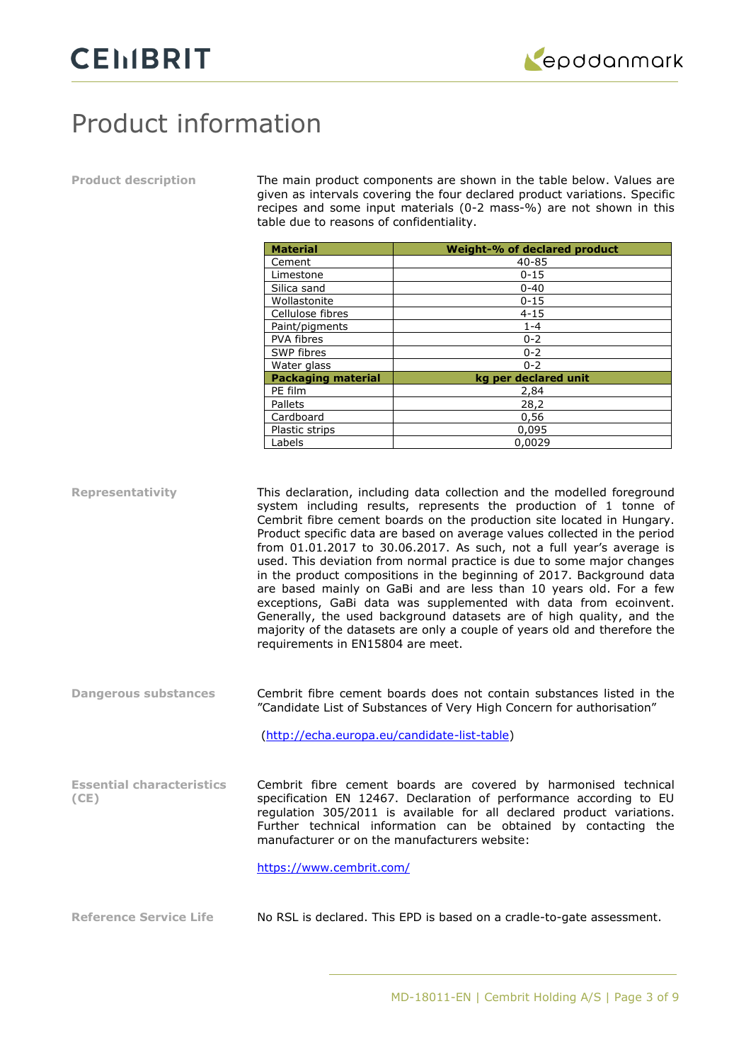## Product information

**Product description** The main product components are shown in the table below. Values are given as intervals covering the four declared product variations. Specific recipes and some input materials (0-2 mass-%) are not shown in this table due to reasons of confidentiality.

|                                          | <b>Material</b>                                                                                                                                | Weight-% of declared product                                                                                                                                                                                                                                                                                                                                                                                                                                                                                                                                                                                                                                                                                                                                                                                                  |  |  |  |
|------------------------------------------|------------------------------------------------------------------------------------------------------------------------------------------------|-------------------------------------------------------------------------------------------------------------------------------------------------------------------------------------------------------------------------------------------------------------------------------------------------------------------------------------------------------------------------------------------------------------------------------------------------------------------------------------------------------------------------------------------------------------------------------------------------------------------------------------------------------------------------------------------------------------------------------------------------------------------------------------------------------------------------------|--|--|--|
|                                          | Cement                                                                                                                                         | 40-85                                                                                                                                                                                                                                                                                                                                                                                                                                                                                                                                                                                                                                                                                                                                                                                                                         |  |  |  |
|                                          | Limestone                                                                                                                                      | $0 - 15$                                                                                                                                                                                                                                                                                                                                                                                                                                                                                                                                                                                                                                                                                                                                                                                                                      |  |  |  |
|                                          | Silica sand                                                                                                                                    | $0 - 40$                                                                                                                                                                                                                                                                                                                                                                                                                                                                                                                                                                                                                                                                                                                                                                                                                      |  |  |  |
|                                          | Wollastonite                                                                                                                                   | $0 - 15$                                                                                                                                                                                                                                                                                                                                                                                                                                                                                                                                                                                                                                                                                                                                                                                                                      |  |  |  |
|                                          | Cellulose fibres                                                                                                                               | $4 - 15$                                                                                                                                                                                                                                                                                                                                                                                                                                                                                                                                                                                                                                                                                                                                                                                                                      |  |  |  |
|                                          | Paint/pigments                                                                                                                                 | $1 - 4$                                                                                                                                                                                                                                                                                                                                                                                                                                                                                                                                                                                                                                                                                                                                                                                                                       |  |  |  |
|                                          | PVA fibres                                                                                                                                     | $0 - 2$                                                                                                                                                                                                                                                                                                                                                                                                                                                                                                                                                                                                                                                                                                                                                                                                                       |  |  |  |
|                                          | SWP fibres                                                                                                                                     | $0 - 2$                                                                                                                                                                                                                                                                                                                                                                                                                                                                                                                                                                                                                                                                                                                                                                                                                       |  |  |  |
|                                          | Water glass                                                                                                                                    | $0 - 2$                                                                                                                                                                                                                                                                                                                                                                                                                                                                                                                                                                                                                                                                                                                                                                                                                       |  |  |  |
|                                          | <b>Packaging material</b>                                                                                                                      | kg per declared unit                                                                                                                                                                                                                                                                                                                                                                                                                                                                                                                                                                                                                                                                                                                                                                                                          |  |  |  |
|                                          | PE film                                                                                                                                        | 2,84                                                                                                                                                                                                                                                                                                                                                                                                                                                                                                                                                                                                                                                                                                                                                                                                                          |  |  |  |
|                                          | Pallets                                                                                                                                        | 28,2                                                                                                                                                                                                                                                                                                                                                                                                                                                                                                                                                                                                                                                                                                                                                                                                                          |  |  |  |
|                                          | Cardboard                                                                                                                                      | 0,56                                                                                                                                                                                                                                                                                                                                                                                                                                                                                                                                                                                                                                                                                                                                                                                                                          |  |  |  |
|                                          | Plastic strips                                                                                                                                 | 0,095                                                                                                                                                                                                                                                                                                                                                                                                                                                                                                                                                                                                                                                                                                                                                                                                                         |  |  |  |
|                                          | Labels                                                                                                                                         | 0,0029                                                                                                                                                                                                                                                                                                                                                                                                                                                                                                                                                                                                                                                                                                                                                                                                                        |  |  |  |
| <b>Representativity</b>                  | requirements in EN15804 are meet.                                                                                                              | This declaration, including data collection and the modelled foreground<br>system including results, represents the production of 1 tonne of<br>Cembrit fibre cement boards on the production site located in Hungary.<br>Product specific data are based on average values collected in the period<br>from 01.01.2017 to 30.06.2017. As such, not a full year's average is<br>used. This deviation from normal practice is due to some major changes<br>in the product compositions in the beginning of 2017. Background data<br>are based mainly on GaBi and are less than 10 years old. For a few<br>exceptions, GaBi data was supplemented with data from ecoinvent.<br>Generally, the used background datasets are of high quality, and the<br>majority of the datasets are only a couple of years old and therefore the |  |  |  |
| <b>Dangerous substances</b>              | Cembrit fibre cement boards does not contain substances listed in the<br>"Candidate List of Substances of Very High Concern for authorisation" |                                                                                                                                                                                                                                                                                                                                                                                                                                                                                                                                                                                                                                                                                                                                                                                                                               |  |  |  |
|                                          | (http://echa.europa.eu/candidate-list-table)                                                                                                   |                                                                                                                                                                                                                                                                                                                                                                                                                                                                                                                                                                                                                                                                                                                                                                                                                               |  |  |  |
| <b>Essential characteristics</b><br>(CE) | https://www.cembrit.com/                                                                                                                       | Cembrit fibre cement boards are covered by harmonised technical<br>specification EN 12467. Declaration of performance according to EU<br>regulation 305/2011 is available for all declared product variations.<br>Further technical information can be obtained by contacting the<br>manufacturer or on the manufacturers website:                                                                                                                                                                                                                                                                                                                                                                                                                                                                                            |  |  |  |
| <b>Reference Service Life</b>            |                                                                                                                                                | No RSL is declared. This EPD is based on a cradle-to-gate assessment.                                                                                                                                                                                                                                                                                                                                                                                                                                                                                                                                                                                                                                                                                                                                                         |  |  |  |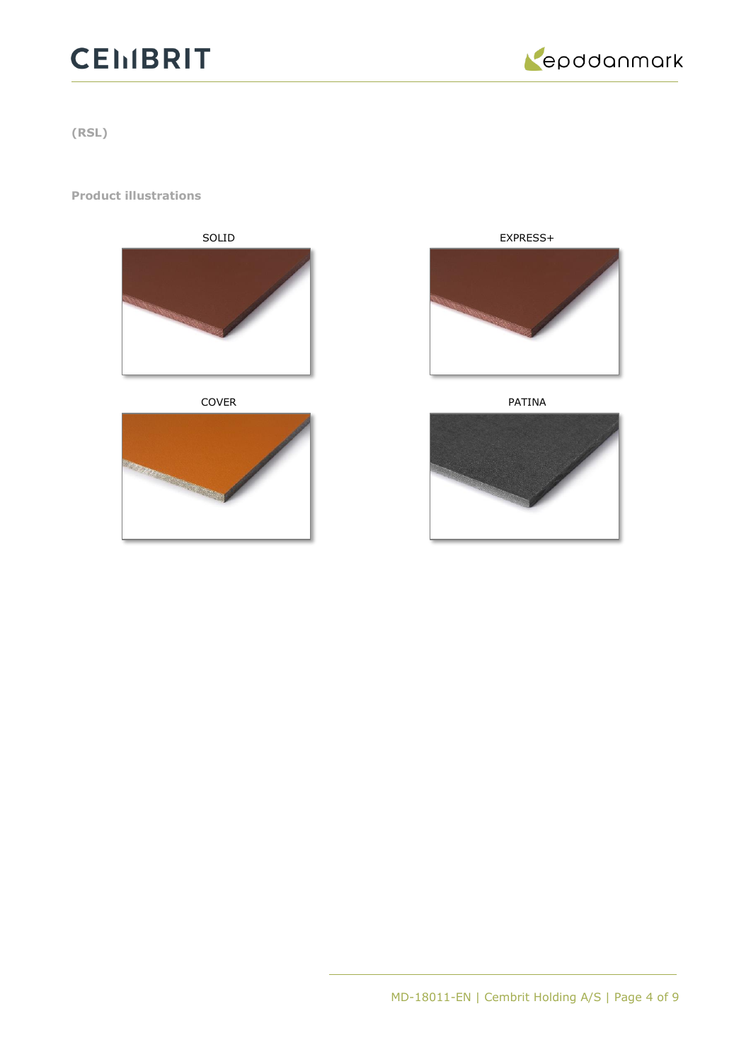# **CEIIBRIT**



**(RSL)**

#### **Product illustrations**



COVER PATINA





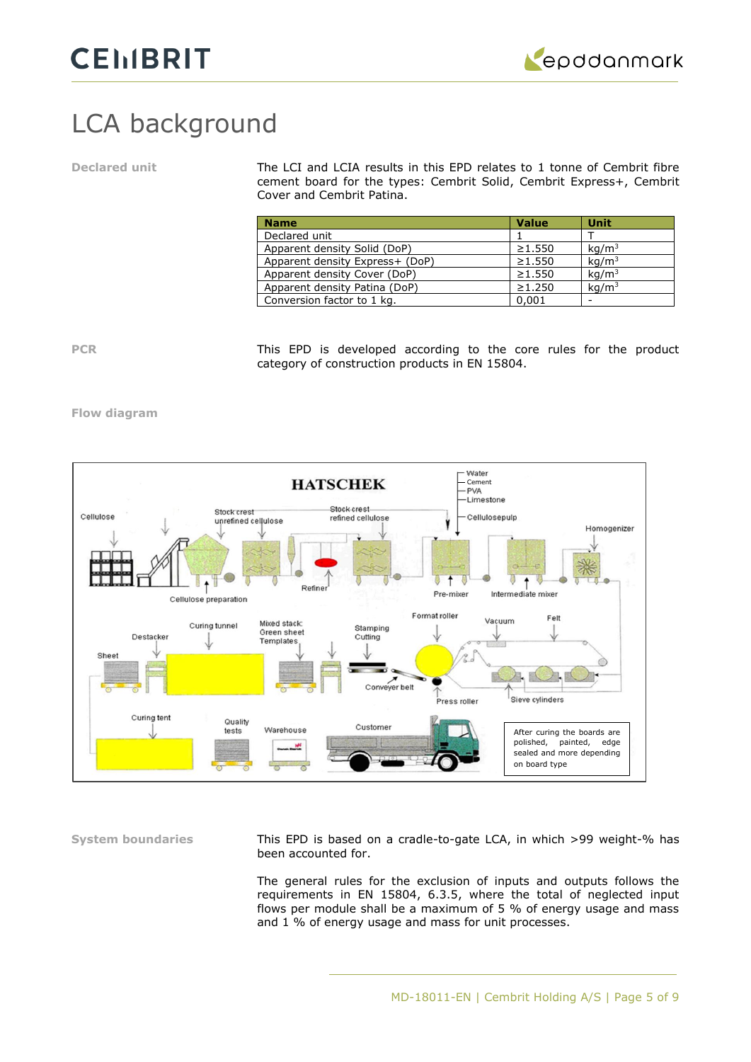

# LCA background

**Declared unit** The LCI and LCIA results in this EPD relates to 1 tonne of Cembrit fibre cement board for the types: Cembrit Solid, Cembrit Express+, Cembrit Cover and Cembrit Patina.

| <b>Name</b>                     | <b>Value</b> | <b>Unit</b>       |
|---------------------------------|--------------|-------------------|
| Declared unit                   |              |                   |
| Apparent density Solid (DoP)    | $\geq 1.550$ | kq/m <sup>3</sup> |
| Apparent density Express+ (DoP) | $\geq 1.550$ | kq/m <sup>3</sup> |
| Apparent density Cover (DoP)    | $\geq 1.550$ | kq/m <sup>3</sup> |
| Apparent density Patina (DoP)   | $\geq 1.250$ | kq/m <sup>3</sup> |
| Conversion factor to 1 kg.      | 0.001        |                   |

**PCR** This EPD is developed according to the core rules for the product category of construction products in EN 15804.

#### **Flow diagram**



**System boundaries** This EPD is based on a cradle-to-gate LCA, in which >99 weight-% has been accounted for.

> The general rules for the exclusion of inputs and outputs follows the requirements in EN 15804, 6.3.5, where the total of neglected input flows per module shall be a maximum of 5 % of energy usage and mass and 1 % of energy usage and mass for unit processes.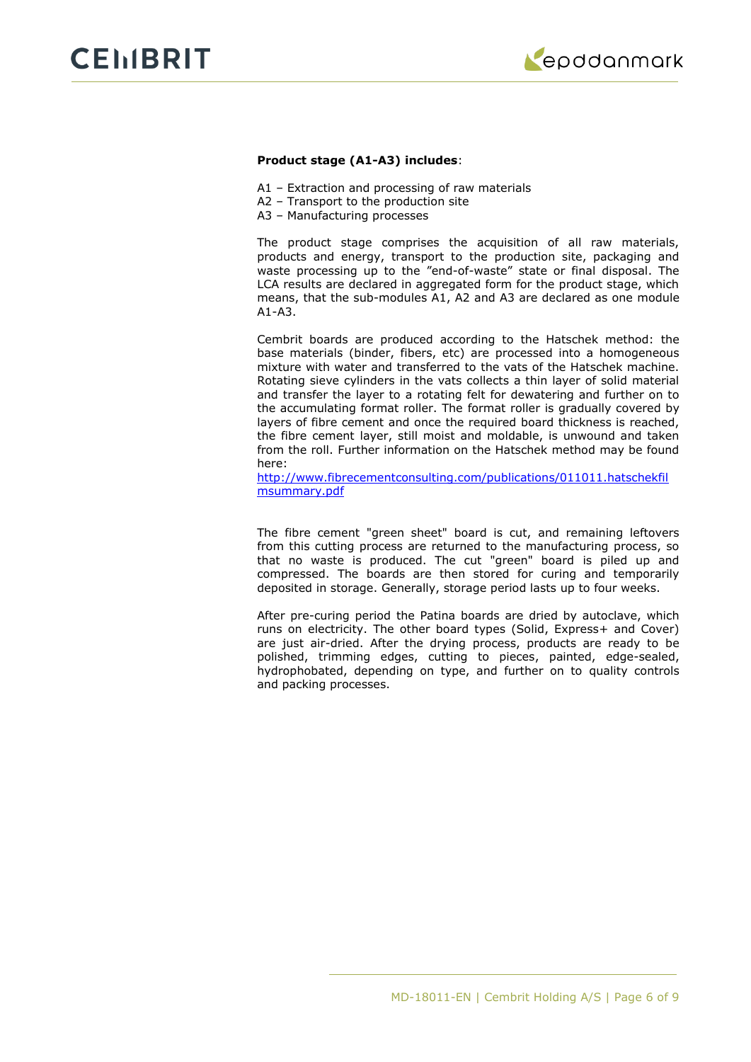

#### **Product stage (A1-A3) includes**:

- A1 Extraction and processing of raw materials
- A2 Transport to the production site
- A3 Manufacturing processes

The product stage comprises the acquisition of all raw materials, products and energy, transport to the production site, packaging and waste processing up to the "end-of-waste" state or final disposal. The LCA results are declared in aggregated form for the product stage, which means, that the sub-modules A1, A2 and A3 are declared as one module A1-A3.

Cembrit boards are produced according to the Hatschek method: the base materials (binder, fibers, etc) are processed into a homogeneous mixture with water and transferred to the vats of the Hatschek machine. Rotating sieve cylinders in the vats collects a thin layer of solid material and transfer the layer to a rotating felt for dewatering and further on to the accumulating format roller. The format roller is gradually covered by layers of fibre cement and once the required board thickness is reached, the fibre cement layer, still moist and moldable, is unwound and taken from the roll. Further information on the Hatschek method may be found here:

[http://www.fibrecementconsulting.com/publications/011011.hatschekfil](http://www.fibrecementconsulting.com/publications/011011.hatschekfilmsummary.pdf) [msummary.pdf](http://www.fibrecementconsulting.com/publications/011011.hatschekfilmsummary.pdf)

The fibre cement "green sheet" board is cut, and remaining leftovers from this cutting process are returned to the manufacturing process, so that no waste is produced. The cut "green" board is piled up and compressed. The boards are then stored for curing and temporarily deposited in storage. Generally, storage period lasts up to four weeks.

After pre-curing period the Patina boards are dried by autoclave, which runs on electricity. The other board types (Solid, Express+ and Cover) are just air-dried. After the drying process, products are ready to be polished, trimming edges, cutting to pieces, painted, edge-sealed, hydrophobated, depending on type, and further on to quality controls and packing processes.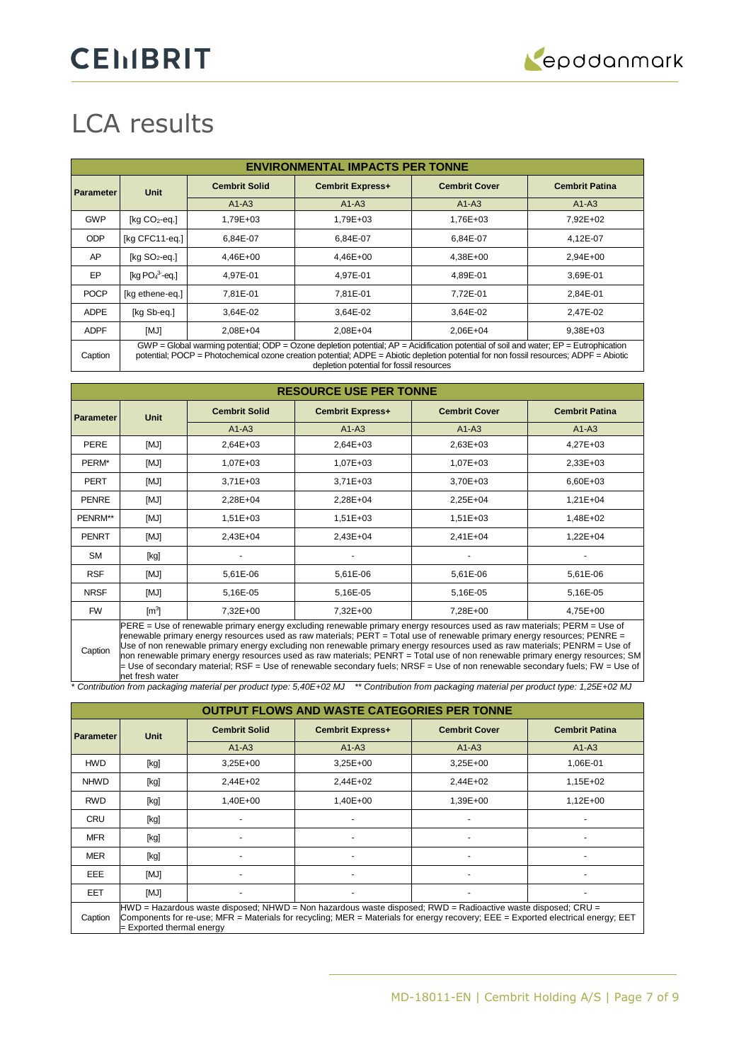# LCA results

|                  | <b>ENVIRONMENTAL IMPACTS PER TONNE</b>                                                                                                                                                                                                                                                                                          |                      |                         |                      |                       |  |  |
|------------------|---------------------------------------------------------------------------------------------------------------------------------------------------------------------------------------------------------------------------------------------------------------------------------------------------------------------------------|----------------------|-------------------------|----------------------|-----------------------|--|--|
| <b>Parameter</b> | <b>Unit</b>                                                                                                                                                                                                                                                                                                                     | <b>Cembrit Solid</b> | <b>Cembrit Express+</b> | <b>Cembrit Cover</b> | <b>Cembrit Patina</b> |  |  |
|                  |                                                                                                                                                                                                                                                                                                                                 | $A1-A3$              | $A1-A3$                 | $A1-A3$              | $A1-A3$               |  |  |
| <b>GWP</b>       | [ $kg CO2$ -eq.]                                                                                                                                                                                                                                                                                                                | 1,79E+03             | 1.79E+03                | 1,76E+03             | 7.92E+02              |  |  |
| <b>ODP</b>       | [kg CFC11-eg.]                                                                                                                                                                                                                                                                                                                  | 6.84E-07             | 6.84E-07                | 6.84E-07             | 4.12E-07              |  |  |
| AP               | [ $kg SO2$ -eq.]                                                                                                                                                                                                                                                                                                                | 4,46E+00             | 4,46E+00                | 4,38E+00             | 2,94E+00              |  |  |
| EP               | $[kq PO43-eq.]$                                                                                                                                                                                                                                                                                                                 | 4.97E-01             | 4.97E-01                | 4.89E-01             | 3.69E-01              |  |  |
| <b>POCP</b>      | [kg ethene-eq.]                                                                                                                                                                                                                                                                                                                 | 7.81E-01             | 7.81E-01                | 7,72E-01             | 2,84E-01              |  |  |
| <b>ADPE</b>      | [kg Sb-eq.]                                                                                                                                                                                                                                                                                                                     | 3.64E-02             | 3.64E-02                | 3,64E-02             | 2.47E-02              |  |  |
| <b>ADPF</b>      | [MJ]                                                                                                                                                                                                                                                                                                                            | 2,08E+04             | 2.08E+04                | 2,06E+04             | 9,38E+03              |  |  |
| Caption          | $GWP = Global$ warming potential; ODP = Ozone depletion potential; $AP =$ Acidification potential of soil and water; $EP =$ Eutrophication<br>potential; POCP = Photochemical ozone creation potential; ADPE = Abiotic depletion potential for non fossil resources; ADPF = Abiotic<br>depletion potential for fossil resources |                      |                         |                      |                       |  |  |

| <b>RESOURCE USE PER TONNE</b> |                                                                                                                          |                      |                         |                      |                       |  |
|-------------------------------|--------------------------------------------------------------------------------------------------------------------------|----------------------|-------------------------|----------------------|-----------------------|--|
| <b>Parameter</b>              | <b>Unit</b>                                                                                                              | <b>Cembrit Solid</b> | <b>Cembrit Express+</b> | <b>Cembrit Cover</b> | <b>Cembrit Patina</b> |  |
|                               |                                                                                                                          | $A1-A3$              | $A1-A3$                 | $A1-A3$              | $A1-A3$               |  |
| <b>PERE</b>                   | [MJ]                                                                                                                     | 2,64E+03             | $2,64E+03$              | 2,63E+03             | $4,27E+03$            |  |
| PERM*                         | [MJ]                                                                                                                     | 1,07E+03             | 1,07E+03                | 1,07E+03             | 2,33E+03              |  |
| <b>PERT</b>                   | [MJ]                                                                                                                     | $3,71E+03$           | $3,71E+03$              | 3,70E+03             | 6,60E+03              |  |
| <b>PENRE</b>                  | [MJ]                                                                                                                     | 2,28E+04             | 2,28E+04                | 2,25E+04             | $1,21E+04$            |  |
| PENRM**                       | [MJ]                                                                                                                     | 1,51E+03             | 1,51E+03                | 1,51E+03             | 1,48E+02              |  |
| <b>PENRT</b>                  | [MJ]                                                                                                                     | 2,43E+04             | 2,43E+04                | 2,41E+04             | $1,22E+04$            |  |
| <b>SM</b>                     | [kg]                                                                                                                     |                      |                         |                      |                       |  |
| <b>RSF</b>                    | [MJ]                                                                                                                     | 5,61E-06             | 5,61E-06                | 5,61E-06             | 5,61E-06              |  |
| <b>NRSF</b>                   | [MJ]                                                                                                                     | 5,16E-05             | 5,16E-05                | 5,16E-05             | 5,16E-05              |  |
| <b>FW</b>                     | $\text{[m}^3\text{]}$                                                                                                    | 7,32E+00             | 7,32E+00                | 7,28E+00             | 4,75E+00              |  |
|                               | PERE = Use of renewable primary energy excluding renewable primary energy resources used as raw materials; PERM = Use of |                      |                         |                      |                       |  |

Caption renewable primary energy resources used as raw materials; PERT = Total use of renewable primary energy resources; PENRE = Use of non renewable primary energy excluding non renewable primary energy resources used as raw materials; PENRM = Use of non renewable primary energy resources used as raw materials; PENRT = Total use of non renewable primary energy resources; SM = Use of secondary material; RSF = Use of renewable secondary fuels; NRSF = Use of non renewable secondary fuels; FW = Use of net fresh water

\* *Contribution from packaging material per product type: 5,40E+02 MJ \*\* Contribution from packaging material per product type: 1,25E+02 MJ*

|                  | <b>OUTPUT FLOWS AND WASTE CATEGORIES PER TONNE</b>                                                                                                                                                                                                                            |                      |                         |                      |                       |  |  |
|------------------|-------------------------------------------------------------------------------------------------------------------------------------------------------------------------------------------------------------------------------------------------------------------------------|----------------------|-------------------------|----------------------|-----------------------|--|--|
| <b>Parameter</b> | Unit                                                                                                                                                                                                                                                                          | <b>Cembrit Solid</b> | <b>Cembrit Express+</b> | <b>Cembrit Cover</b> | <b>Cembrit Patina</b> |  |  |
|                  |                                                                                                                                                                                                                                                                               | $A1-A3$              | $A1-A3$                 | $A1-A3$              | $A1-A3$               |  |  |
| <b>HWD</b>       | [kg]                                                                                                                                                                                                                                                                          | $3,25E+00$           | $3,25E+00$              | $3,25E+00$           | 1,06E-01              |  |  |
| <b>NHWD</b>      | [kg]                                                                                                                                                                                                                                                                          | 2,44E+02             | $2.44E + 02$            | 2,44E+02             | 1,15E+02              |  |  |
| <b>RWD</b>       | [kg]                                                                                                                                                                                                                                                                          | 1,40E+00             | 1,40E+00                | 1,39E+00             | $1,12E+00$            |  |  |
| <b>CRU</b>       | [kg]                                                                                                                                                                                                                                                                          |                      |                         |                      |                       |  |  |
| <b>MFR</b>       | [kg]                                                                                                                                                                                                                                                                          |                      |                         |                      |                       |  |  |
| <b>MER</b>       | [kg]                                                                                                                                                                                                                                                                          |                      |                         |                      |                       |  |  |
| EEE              | [MJ]                                                                                                                                                                                                                                                                          |                      |                         |                      |                       |  |  |
| EET              | [MJ]                                                                                                                                                                                                                                                                          |                      |                         |                      |                       |  |  |
| Caption          | HWD = Hazardous waste disposed; NHWD = Non hazardous waste disposed; RWD = Radioactive waste disposed; CRU =<br>Components for re-use; MFR = Materials for recycling; MER = Materials for energy recovery; EEE = Exported electrical energy; EET<br>= Exported thermal energy |                      |                         |                      |                       |  |  |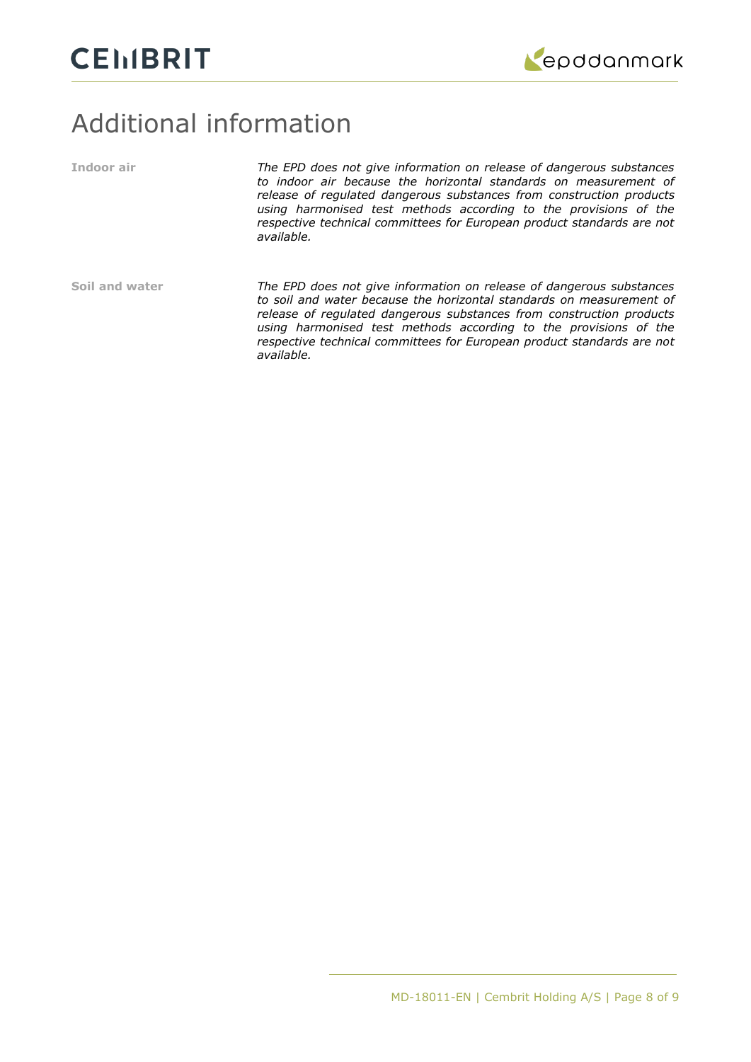

### Additional information

**Indoor air** *The EPD does not give information on release of dangerous substances to indoor air because the horizontal standards on measurement of release of regulated dangerous substances from construction products using harmonised test methods according to the provisions of the respective technical committees for European product standards are not available.* **Soil and water** *The EPD does not give information on release of dangerous substances to soil and water because the horizontal standards on measurement of release of regulated dangerous substances from construction products using harmonised test methods according to the provisions of the respective technical committees for European product standards are not available.*